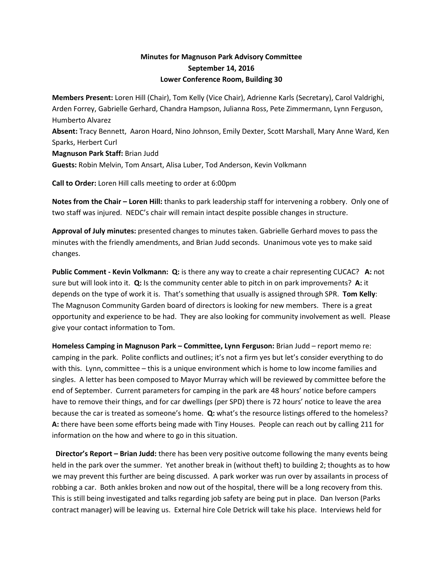## **Minutes for Magnuson Park Advisory Committee September 14, 2016 Lower Conference Room, Building 30**

**Members Present:** Loren Hill (Chair), Tom Kelly (Vice Chair), Adrienne Karls (Secretary), Carol Valdrighi, Arden Forrey, Gabrielle Gerhard, Chandra Hampson, Julianna Ross, Pete Zimmermann, Lynn Ferguson, Humberto Alvarez **Absent:** Tracy Bennett, Aaron Hoard, Nino Johnson, Emily Dexter, Scott Marshall, Mary Anne Ward, Ken Sparks, Herbert Curl

**Magnuson Park Staff:** Brian Judd **Guests:** Robin Melvin, Tom Ansart, Alisa Luber, Tod Anderson, Kevin Volkmann

**Call to Order:** Loren Hill calls meeting to order at 6:00pm

**Notes from the Chair – Loren Hill:** thanks to park leadership staff for intervening a robbery. Only one of two staff was injured. NEDC's chair will remain intact despite possible changes in structure.

**Approval of July minutes:** presented changes to minutes taken. Gabrielle Gerhard moves to pass the minutes with the friendly amendments, and Brian Judd seconds. Unanimous vote yes to make said changes.

**Public Comment - Kevin Volkmann: Q:** is there any way to create a chair representing CUCAC? **A:** not sure but will look into it. **Q:** Is the community center able to pitch in on park improvements? **A:** it depends on the type of work it is. That's something that usually is assigned through SPR. **Tom Kelly**: The Magnuson Community Garden board of directors is looking for new members. There is a great opportunity and experience to be had. They are also looking for community involvement as well. Please give your contact information to Tom.

**Homeless Camping in Magnuson Park – Committee, Lynn Ferguson:** Brian Judd – report memo re: camping in the park. Polite conflicts and outlines; it's not a firm yes but let's consider everything to do with this. Lynn, committee – this is a unique environment which is home to low income families and singles. A letter has been composed to Mayor Murray which will be reviewed by committee before the end of September. Current parameters for camping in the park are 48 hours' notice before campers have to remove their things, and for car dwellings (per SPD) there is 72 hours' notice to leave the area because the car is treated as someone's home. **Q:** what's the resource listings offered to the homeless? **A:** there have been some efforts being made with Tiny Houses. People can reach out by calling 211 for information on the how and where to go in this situation.

 **Director's Report – Brian Judd:** there has been very positive outcome following the many events being held in the park over the summer. Yet another break in (without theft) to building 2; thoughts as to how we may prevent this further are being discussed. A park worker was run over by assailants in process of robbing a car. Both ankles broken and now out of the hospital, there will be a long recovery from this. This is still being investigated and talks regarding job safety are being put in place. Dan Iverson (Parks contract manager) will be leaving us. External hire Cole Detrick will take his place. Interviews held for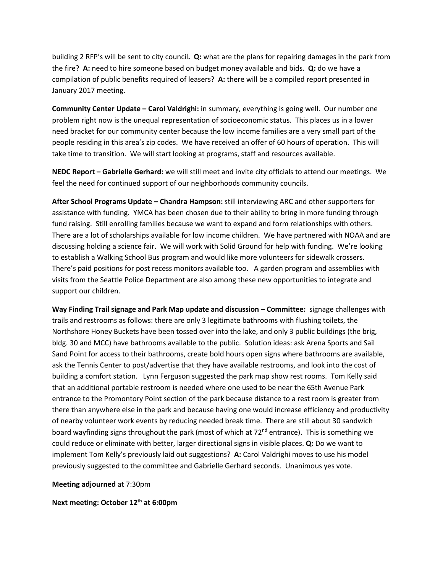building 2 RFP's will be sent to city council**. Q:** what are the plans for repairing damages in the park from the fire? **A:** need to hire someone based on budget money available and bids. **Q:** do we have a compilation of public benefits required of leasers? **A:** there will be a compiled report presented in January 2017 meeting.

**Community Center Update – Carol Valdrighi:** in summary, everything is going well. Our number one problem right now is the unequal representation of socioeconomic status. This places us in a lower need bracket for our community center because the low income families are a very small part of the people residing in this area's zip codes. We have received an offer of 60 hours of operation. This will take time to transition. We will start looking at programs, staff and resources available.

**NEDC Report – Gabrielle Gerhard:** we will still meet and invite city officials to attend our meetings. We feel the need for continued support of our neighborhoods community councils.

**After School Programs Update – Chandra Hampson:** still interviewing ARC and other supporters for assistance with funding. YMCA has been chosen due to their ability to bring in more funding through fund raising. Still enrolling families because we want to expand and form relationships with others. There are a lot of scholarships available for low income children. We have partnered with NOAA and are discussing holding a science fair. We will work with Solid Ground for help with funding. We're looking to establish a Walking School Bus program and would like more volunteers for sidewalk crossers. There's paid positions for post recess monitors available too. A garden program and assemblies with visits from the Seattle Police Department are also among these new opportunities to integrate and support our children.

**Way Finding Trail signage and Park Map update and discussion – Committee:** signage challenges with trails and restrooms as follows: there are only 3 legitimate bathrooms with flushing toilets, the Northshore Honey Buckets have been tossed over into the lake, and only 3 public buildings (the brig, bldg. 30 and MCC) have bathrooms available to the public. Solution ideas: ask Arena Sports and Sail Sand Point for access to their bathrooms, create bold hours open signs where bathrooms are available, ask the Tennis Center to post/advertise that they have available restrooms, and look into the cost of building a comfort station. Lynn Ferguson suggested the park map show rest rooms. Tom Kelly said that an additional portable restroom is needed where one used to be near the 65th Avenue Park entrance to the Promontory Point section of the park because distance to a rest room is greater from there than anywhere else in the park and because having one would increase efficiency and productivity of nearby volunteer work events by reducing needed break time. There are still about 30 sandwich board wayfinding signs throughout the park (most of which at 72<sup>nd</sup> entrance). This is something we could reduce or eliminate with better, larger directional signs in visible places. **Q:** Do we want to implement Tom Kelly's previously laid out suggestions? **A:** Carol Valdrighi moves to use his model previously suggested to the committee and Gabrielle Gerhard seconds. Unanimous yes vote.

**Meeting adjourned** at 7:30pm

**Next meeting: October 12th at 6:00pm**